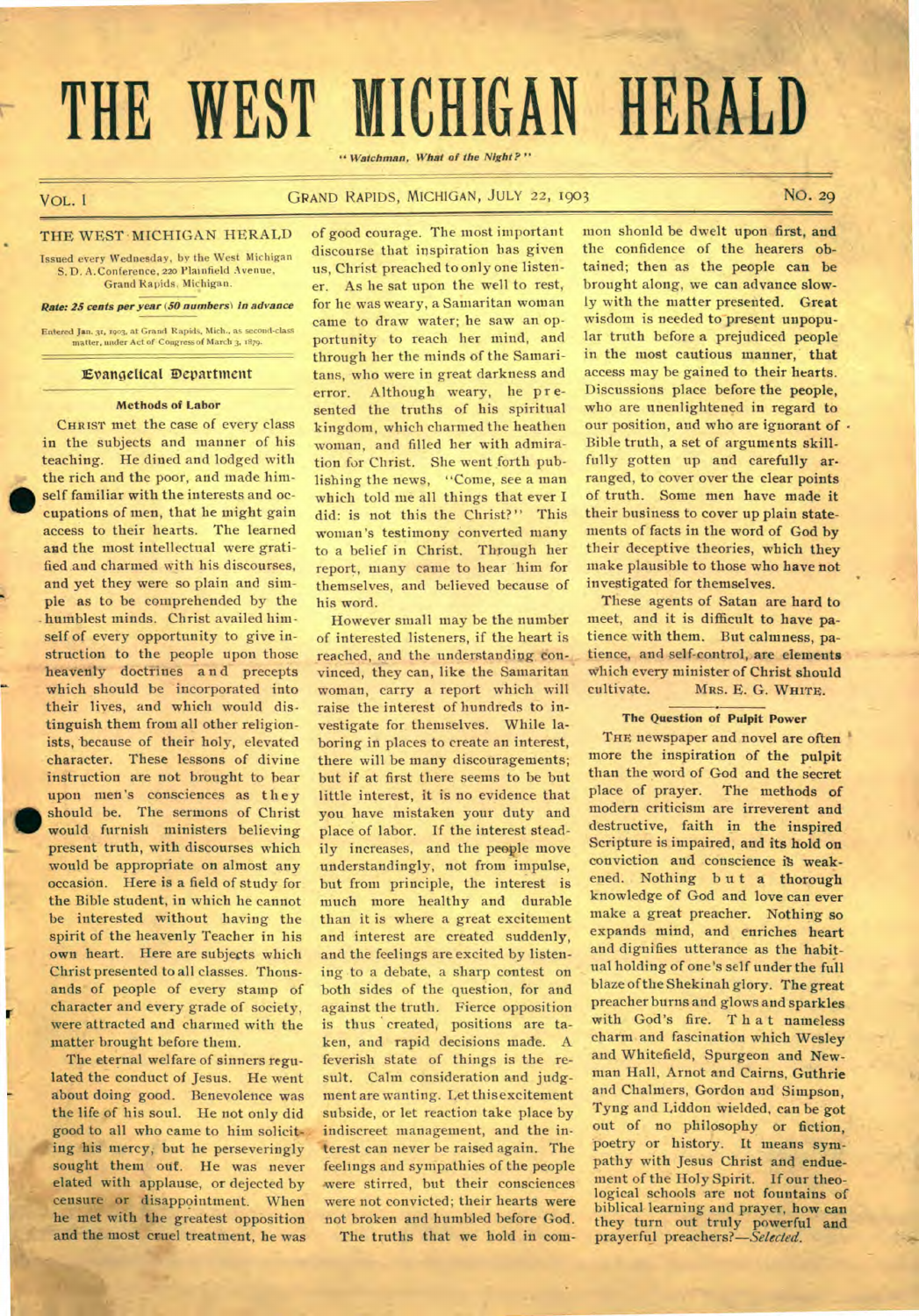# **THE WEST MICHIGAN HERALD**

" Watchman, What of the Night?"

# VOL. 1 GRAND RAPIDS, MICHIGAN, JULY 22, 1903 NO. 29

# THE WEST MICHIGAN HERALD

Issued every Wednesday, by the West Michigan S. D. A. Conference, 220 Plainfield Avenue, Grand Rapids. Michigan.

### Rate: 25 cents per year (50 numbers) in advance

Entered Jan. 31, 1903, at Grand Rapids, Mich., as second-class matter, under Act of Congress of March 3, 1879.

# **Evangelical Department**

# **Methods of Labor**

CHRIST met the case of every class in the subjects and manner of his teaching. He dined and lodged with the rich and the poor, and made him- Entered Jan. 31, 1993, at Grand Rapids, Mich., as second-class<br>
matter, under Act of Congress of March 3, 1879.<br> **Evangelical Department**<br> **Evangelical Department**<br> **Methods of Labor**<br>
CHRIST met the case of every class<br> cupations of men, that he might gain access to their hearts. The learned and the most intellectual were gratified and charmed with his discourses, and yet they were so plain and simple as to be comprehended by the humblest minds. Christ availed himself of every opportunity to give instruction to the people upon those heavenly doctrines a n d precepts which should be incorporated into their lives, and which would distinguish them from all other religionists, because of their holy, elevated character. These lessons of divine instruction are not brought to bear upon men's consciences as they should be. The sermons of Christ would furnish ministers believing present truth, with discourses which would be appropriate on almost any occasion. Here is a field of study for the Bible student, in which he cannot be interested without having the spirit of the heavenly Teacher in his own heart. Here are subjects which Christ presented to all classes. Thousands of people of every stamp of character and every grade of society, were attracted and charmed with the matter brought before them.

The eternal welfare of sinners regulated the conduct of Jesus. He went about doing good. Benevolence was the life of his soul. He not only did good to all who came to him solicit*ing his mercy, but he perseveringly* sought them out. He was never elated with applause, or dejected by censure or disappointment. When he met with the greatest opposition and the most cruel treatment, he was

r

of good courage. The most important discourse that inspiration has given us, Christ preached to only one listener. As he sat upon the well to rest, for he was weary, a Samaritan woman came to draw water; he saw an opportunity to reach her mind, and through her the minds of the Samaritans, who were in great darkness and error. Although weary, he presented the truths of his spiritual kingdom, which charmed the heathen woman, and filled her with admiration for Christ. She went forth publishing the news, "Come, see a man which told me all things that ever **I**  did: is not this the Christ?" This woman's testimony converted many to a belief in Christ. Through her report, many came to hear him for themselves, and believed because of his word.

However small may be the number of interested listeners, if the heart is reached, and the understanding eon-. vinced, they can, like the Samaritan woman, carry a report which will raise the interest of hundreds to investigate for themselves. While laboring in places to create an interest, there will be many disconragements; but if at first there seems to be but little interest, it is no evidence that you have mistaken your duty and place of labor. If the interest steadily increases, and the people move understandingly, not from impulse, but from principle, the interest is much more healthy and durable than it is where a great excitement and interest are created suddenly, and the feelings are excited by listening to a debate, a sharp contest on both sides of the question, for and against the truth. Fierce opposition is thus created, positions are taken, and rapid decisions made. A feverish state of things is the result. Calm consideration and judgment are wanting. Let this excitement subside, or let reaction take place by indiscreet management, and the interest can never be raised again. The feelings and sympathies of the people were stirred, but their consciences were not convicted; their hearts were not broken and humbled before God.

The truths that we hold in com-

mon shonld be dwelt upon first, and the confidence of the hearers obtained; then as the people **can** be brought along, we can advance **slowly** with the matter presented. Great wisdom is needed to present unpopular truth before a prejudiced people in the most cautious manner, that access may be gained to their hearts. Discussions place before the people, who are unenlightened in regard to our position, and who are ignorant of -Bible truth, a set of arguments skillfully gotten up and carefully **arranged,** to cover over the clear **points**  of truth. Some men have made it their business to cover up plain statements of facts in the word of God by their deceptive theories, which they make plausible to those who have not investigated for themselves.

These agents of Satan are hard to meet, and it is difficult to have patience with them. But calmness, patience, and self-control, **are elements**  Which every minister of Christ should cultivate. MRS. E. G. WHITE.

# **The Question of Pulpit Power**

THE newspaper and novel are often more the inspiration of the **pulpit**  than the word of God and the secret place of prayer. The methods of modern criticism are irreverent **and**  destructive, faith in the inspired Scripture is impaired, and its hold on conviction and conscience is weakened. Nothing but a thorough knowledge of God and love can ever make a great preacher. Nothing so expands mind, and enriches heart and dignifies utterance as the habitual holding of one's self under the full blaze of the Shekinah glory. The great preacher burns and glows and sparkles with God's fire. That nameless charm and fascination which Wesley and Whitefield, Spurgeon and Newman Hall, Arnot and Cairns, Guthrie and Chalmers, Gordon and Simpson, Tyng and Liddon wielded, can be got out of no philosophy or fiction, poetry or history. It means sympathy with Jesus Christ and enduement of the Holy Spirit. If our theological schools are not fountains of biblical learning and prayer, how can they turn out truly powerful and prayerful *preachers?—Selected.*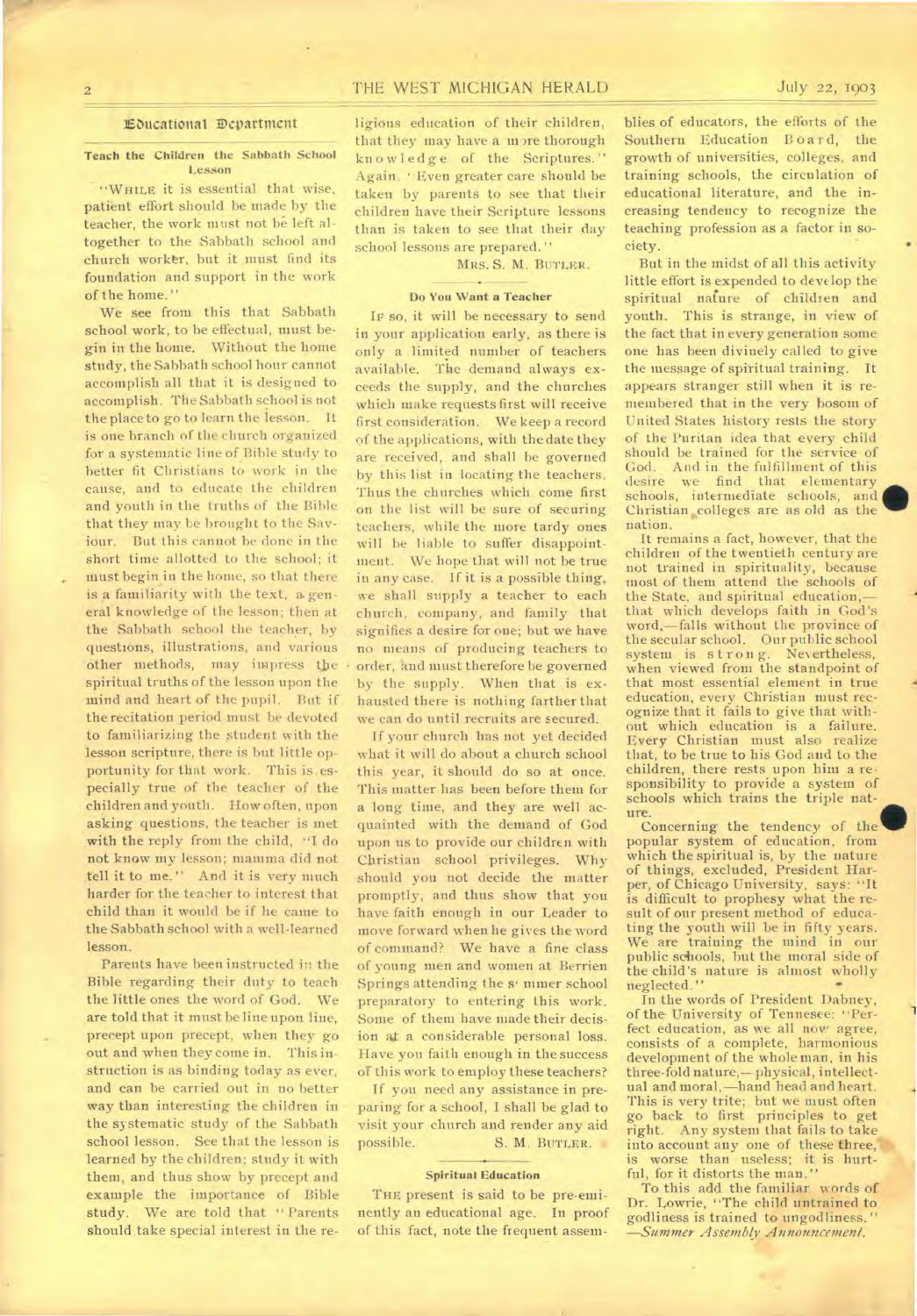# 2 THE WEST MICHIGAN HERALD July 22, 1903

# **Ebucattonal 3Department**

# **Teach the Children the Sabbath School Lesson**

"WHILE it is essential that wise, patient effort should be made by the teacher, the work must not be left altogether to the Sabbath school and church worker, but it must find its foundation and support in the work of the home."

We see from this that Sabbath school work, to be effectual, must begin in the home. Without the home study, the Sabbath school hour cannot accomplish all that it is designed to accomplish. The Sabbath school is not the place to go to learn the lesson. It is one branch of the church organized for a systematic line of Bible study to better fit Christians to work in the cause, and to educate the children and youth in the truths of the Bible that they may be brought to the Saviour. But this cannot be done in the short time allotted to the school; it must begin in the home, so that there is a familiarity with the text, a. general knowledge of the lesson; then at the Sabbath school the teacher, by questions, illustrations, and various other methods, may impress the spiritual truths of the lesson upon the mind and heart of the pupil. But if the recitation period must be devoted to familiarizing the student with the lesson scripture, there is but little opportunity for that work. This is especially true of the teacher of the children and youth. How often, upon asking questions, the teacher is met with the reply from the child, "I do not know my lesson; mamma did not tell it to me." And it is very much harder for the teacher to interest that child than it would be if he came to the Sabbath school with a well-learned lesson.

Parents have been instructed in the Bible regarding their duty to teach the little ones the word of God. We are told that it must be line upon line, precept upon precept, when they go out and when they come in. This instruction is as binding today as ever, and can be carried out in no better way than interesting the children in the systematic study of the Sabbath school lesson. See that the lesson is learned by the children; study it with them, and thus show by precept and example the importance of Bible study. We are told that " Parents should take special interest in the religious education of their children, that they may have a more thorough knowledge of the Scriptures." Again, '•Even greater care should be taken by parents to see that their children have their Scripture lessons than is taken to see that their day school lessons are prepared."

MRS. S. M. BUTLER.

# **Do You Want a Teacher**

**IF so, it** will be necessary to send in your application early, as there is only a limited number of teachers available. The demand always exceeds the supply, and the churches which make requests first will receive first consideration. We keep a record of the applications, with the date they are received, and shall be governed by this list in locating the teachers. Thus the churches which come first on the list will be sure of securing teachers, while the more tardy ones will be liable to suffer disappointment. We hope that will not be true in any case. If it is a possible thing, we shall supply a teacher to each church, company, and family that signifies a desire for one; but we have no means of producing teachers to order, and must therefore be governed by the supply. When that is exhausted there is nothing farther that we can do until recruits are secured.

If your church has not yet decided what it will do about a church school this year, it should do so at once. This matter has been before them for a long time, and they are well acquainted with the demand of God upon us to provide our children with Christian school privileges. Why should you not decide the matter promptly, and thus show that you have faith enough in our Leader to move forward when he gives the word of command? We have a fine class of young men and women at Berrien Springs attending the s' miner school preparatory to entering this work. Some of them have made their decision ata considerable personal loss. Have you faith enough in the success of this work to employ these teachers?

If you need any assistance in preparing for a school, I shall be glad to visit your church and render any aid<br>possible. S. M. BUTLER. S. M. BUTLER.

# **Spiritual Education**

THE present is said to be pre-eminently an educational age. In proof of this fact, note the frequent assemblies of educators, the efforts of the Southern Education Board, the growth of universities, colleges, and training schools, the circulation of educational literature, and the increasing tendency to recognize the teaching profession as a factor in society.

But in the midst of all this activity little effort is expended to develop the spiritual nature of children and youth. This is strange, in view of the fact that in every generation some one has been divinely called to give the message of spiritual training. It appears stranger still when it is remembered that in the very bosom of United States history rests the story of the Puritan idea that every child should be trained for the service of God. And in the fulfillment of this desire we find that elementary schools, intermediate schools, and Christian colleges are as old as the nation.

It remains a fact, however, that the children of the twentieth century are not trained in spirituality, because most of them attend the schools of the State, and spiritual education,that which develops faith in God's word,—falls without the province of the secular school. Our public school system is strong. Nevertheless, when viewed from the standpoint of that most essential element in true education, every Christian must recognize that it fails to give that without which education is a failure. Every Christian must also realize that, to be true to his God and to the children, there rests upon him a responsibility to provide a system of schools which trains the triple nature.

Concerning the tendency of the popular system of education, from which the spiritual is, by the nature of things, excluded, President Harper, of Chicago University, says: "It is difficult to prophesy what the result of our present method of educating the youth will be in fifty years. We are training the mind in our public schools, but the moral side of the child's nature is almost wholly neglected." neglected."

In the words of President Dabney, of the University of Tennesee: "Perfect education, as we all now agree, consists of a complete, harmonious development of the whole man, in his three-fold nature,— physical, intellectual and moral,—hand head and heart. This is very trite; but we must often go back to first principles to get right. Any system that fails to take into account any one of these three, is worse than useless; it is hurtful, for it distorts the man."

To this add the familiar words of Dr. Lowrie, "The child untrained to godliness is trained to ungodliness." *—Summer Assembly Announcement.*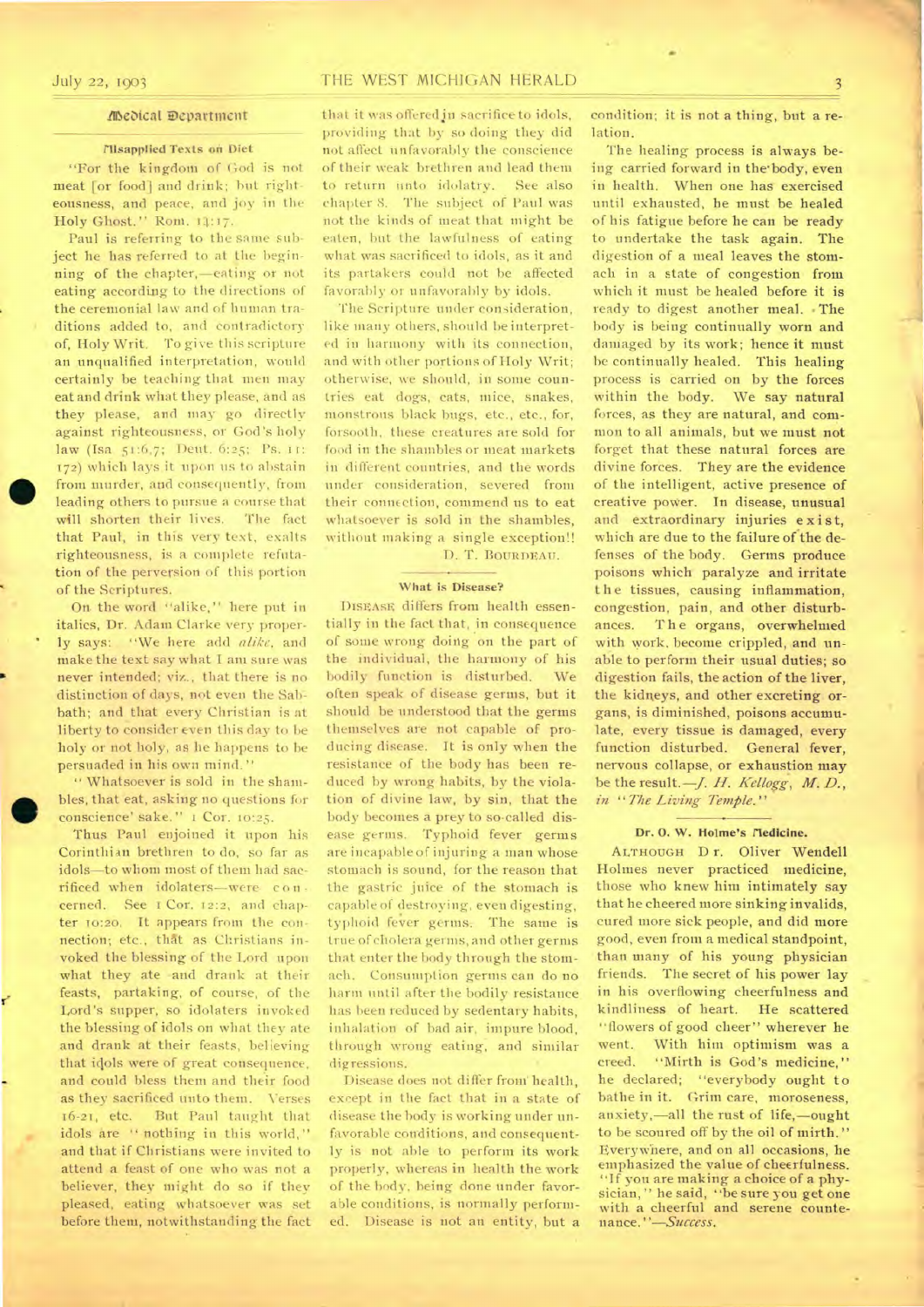# */Dedical Department*

# **Illsapplied Texts on Diet**

"For the kingdom of God is not meat [or food] and drink; but righteousness, and peace, and joy in the Holy Ghost." Rom. 14:17.

Paul is referring to the same subject he has referred to at the beginning of the chapter,—eating or not eating according to the directions of the ceremonial law and of human traditions added to, and contradictory of, Holy Writ. To give this scripture an unqualified interpretation, would certainly be teaching that men may eat and drink what they please, and as they please, and may go directly against righteousness, or God's holy law (Isa. 51:6,7; Dent. 6:25; Ps. i: 172) which lays-it upon us to abstain from murder, and consequently, from leading others to pursue a course that will shorten their lives. The fact that Paul, in this very text, exalts righteousness, is a complete refutation of the perversion of this portion of the Scriptures.

On. the word "alike," here put in italics, Dr. Adam Clarke very properly says: "We here add *alike,* and make the text say what I am sure was never intended; viz., that there is no distinction of days, not even the Sabbath; and that every Christian is at liberty to consider even this day to be holy or not holy, as he happens to be persuaded in his own mind."

" Whatsoever is sold in the shambles, that eat, asking no-questions for conscience' sake." i Cor. 10:25.

Thus Paul enjoined it upon his Corinthian brethren to do, so far as idols—to whom most of them had sacrificed when idolaters—were- con cerned. See I Cor. 12:2, and chapter 10:20. It appears from the connection; etc., that as Christians invoked the blessing of the Lord upon what they ate and drank at their feasts, partaking, of course, of the Lord's supper, so idolaters invoked the blessing of idols on what they ate and drank at their feasts, believing that idols were of great consequence, and could bless them and their food as they sacrificed unto them. Verses 16-21, etc. But Paul taught that idols are " nothing in this world," and that if Christians were invited to attend a feast of one who was not **a**  believer, they might do so if they pleased, eating whatsoever was set before them, notwithstanding the fact

that it was offeredjn sacrifice to idols, providing that by so doing they did not affect unfavorably the conscience of their weak brethren and lead them to return unto idolatry. See also chapter S. The subject of Paul was not the kinds of meat that might be eaten, but the lawfulness of eating what was sacrificed to idols, as it and its partakers could not be affected favorably or unfavorably by idols.

The Scripture under consideration, like many others, should be interpreted in harmony with its connection, and with other portions of Holy Writ; otherwise, we should, in some countries eat dogs, cats, mice, snakes, monstrous black bugs, etc., etc., for, forsooth, these creatures are sold for food in the shambles or meat markets in different countries, and the words under consideration, severed from their connection, commend us to eat whatsoever is sold in the shambles, without making a single exception!! D. T. BOURDEAU.

# **What is Disease?**

DISEASE differs from health essentially in the fact that, in consequence of some wrong doing on the part of the individual, the harmony of his bodily function is disturbed. We often speak of disease germs, but it should be understood that the germs themselves are not capable of producing disease. It is only when the resistance of the body has been reduced by wrong habits, by the violation of divine law, by sin, that the body becomes a prey to so-called disease germs. Typhoid fever germs are incapable of injuring a man whose stomach is sound, for the reason that the gastric juice of the stomach is capable of destroying, even digesting, typhoid fever germs. The same is true of cholera germs, and other germs that enter the body through the stomach. Consumption germs can do no harm until after the bodily resistance has been reduced by sedentary habits, inhalation of bad air, impure blood, through wrong eating, and similar digressions.

Disease does not differ from' health, except in the fact that in a state of disease the body is working under unfavorable conditions, and consequently is not able to perform its work properly, whereas in health the work of the body, being done under favorable conditions, is normally performed. Disease is not an entity, but a condition; it is not **a** thing, but a relation.

The healing process is always being carried forward in the•body, even in health. When one has exercised until exhausted, be must be healed of his fatigue before be can be ready to undertake the task again. The digestion of **a** meal leaves the stomach in a state of congestion from which it must be healed before it is ready to digest another meal. • The body is being continually worn and damaged by its work; hence it must be continually healed. This healing process is carried on by the forces within the body. We say natural forces, as they are natural, and common to all animals, but we must not forget that these natural forces are divine forces. They are the evidence of the intelligent, active presence of creative power. In disease, unusual and extraordinary injuries exist, which are due to the failure of the defenses of the body. Germs produce poisons which paralyze and irritate the tissues, causing inflammation, congestion, pain, and other disturbances. The organs, overwhelmed with work, become crippled, and unable to perform their usual duties; so digestion fails, the action of the liver, the kidneys, and other excreting organs, is diminished, poisons accumulate, every tissue is damaged, every function disturbed. General fever, nervous collapse, or exhaustion may be the result. - *J. H. Kellogg*, M. D., *in "The Living Temple."* 

### Dr. O. W. Holme's *Nedicine*.

ALTHOUGH D r. Oliver Wendell Holmes never practiced medicine, those who knew him intimately say that he cheered more sinking invalids, cured more sick people, and did more good, even from a medical standpoint, than many of his young physician friends. The secret of his power lay in his overflowing cheerfulness and kindliness of heart. He scattered "flowers of good cheer" wherever he went. With him optimism was a creed. "Mirth is God's medicine," he declared; "everybody ought to bathe in it. Grim care, moroseness, anxiety,—all the rust of life,—ought to be scoured off by the oil of mirth." Everywhere, and on all occasions, he emphasized the value of cheerfulness. "If you are making a choice of a physician, " he said, "be sure you get one with a cheerful and serene countenance. *"—Success.*